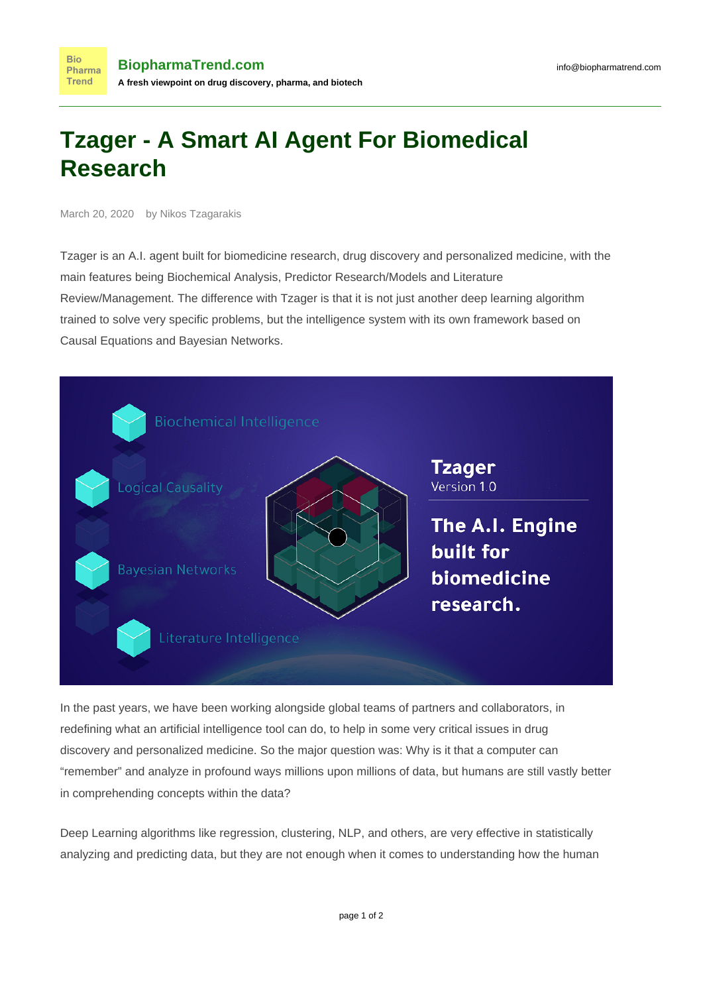## **Tzager - A Smart AI Agent For Biomedical Research**

March 20, 2020 by Nikos Tzagarakis

Tzager is an A.I. agent built for biomedicine research, drug discovery and personalized medicine, with the main features being Biochemical Analysis, Predictor Research/Models and Literature Review/Management. The difference with Tzager is that it is not just another deep learning algorithm trained to solve very specific problems, but the intelligence system with its own framework based on Causal Equations and Bayesian Networks.



In the past years, we have been working alongside global teams of partners and collaborators, in redefining what an artificial intelligence tool can do, to help in some very critical issues in drug discovery and personalized medicine. So the major question was: Why is it that a computer can "remember" and analyze in profound ways millions upon millions of data, but humans are still vastly better in comprehending concepts within the data?

Deep Learning algorithms like regression, clustering, NLP, and others, are very effective in statistically analyzing and predicting data, but they are not enough when it comes to understanding how the human